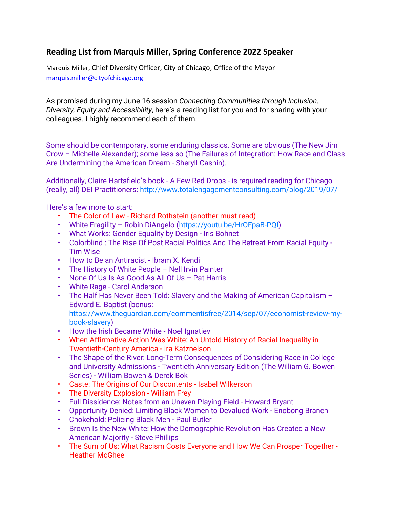## **Reading List from Marquis Miller, Spring Conference 2022 Speaker**

Marquis Miller, Chief Diversity Officer, City of Chicago, Office of the Mayor [marquis.miller@cityofchicago.org](mailto:marquis.miller@cityofchicago.org)

As promised during my June 16 session *Connecting Communities through Inclusion, Diversity, Equity and Accessibility*, here's a reading list for you and for sharing with your colleagues. I highly recommend each of them.

Some should be contemporary, some enduring classics. Some are obvious (The New Jim Crow – Michelle Alexander); some less so (The Failures of Integration: How Race and Class Are Undermining the American Dream - Sheryll Cashin).

Additionally, Claire Hartsfield's book - A Few Red Drops - is required reading for Chicago (really, all) DEI Practitioners: http://www.totalengagementconsulting.com/blog/2019/07/

Here's a few more to start:

- The Color of Law Richard Rothstein (another must read)
- White Fragility Robin DiAngelo (https://youtu.be/HrOFpaB-PQI)
- What Works: Gender Equality by Design Iris Bohnet
- Colorblind : The Rise Of Post Racial Politics And The Retreat From Racial Equity Tim Wise
- How to Be an Antiracist Ibram X. Kendi
- The History of White People Nell Irvin Painter
- None Of Us Is As Good As All Of Us Pat Harris
- White Rage Carol Anderson
- The Half Has Never Been Told: Slavery and the Making of American Capitalism Edward E. Baptist (bonus: https://www.theguardian.com/commentisfree/2014/sep/07/economist-review-mybook-slavery)
- How the Irish Became White Noel Ignatiev
- When Affirmative Action Was White: An Untold History of Racial Inequality in Twentieth-Century America - Ira Katznelson
- The Shape of the River: Long-Term Consequences of Considering Race in College and University Admissions - Twentieth Anniversary Edition (The William G. Bowen Series) - William Bowen & Derek Bok
- Caste: The Origins of Our Discontents Isabel Wilkerson
- The Diversity Explosion William Frey
- Full Dissidence: Notes from an Uneven Playing Field Howard Bryant
- Opportunity Denied: Limiting Black Women to Devalued Work Enobong Branch
- Chokehold: Policing Black Men Paul Butler
- Brown Is the New White: How the Demographic Revolution Has Created a New American Majority - Steve Phillips
- The Sum of Us: What Racism Costs Everyone and How We Can Prosper Together Heather McGhee